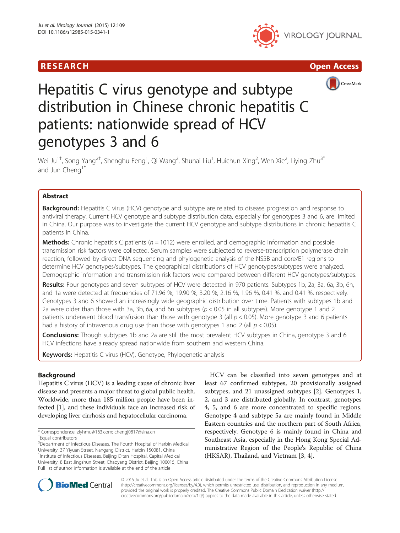





# Hepatitis C virus genotype and subtype distribution in Chinese chronic hepatitis C patients: nationwide spread of HCV genotypes 3 and 6

Wei Ju<sup>1†</sup>, Song Yang<sup>2†</sup>, Shenghu Feng<sup>1</sup>, Qi Wang<sup>2</sup>, Shunai Liu<sup>1</sup>, Huichun Xing<sup>2</sup>, Wen Xie<sup>2</sup>, Liying Zhu<sup>3\*</sup> and Jun Cheng<sup>1</sup>

# Abstract

**Background:** Hepatitis C virus (HCV) genotype and subtype are related to disease progression and response to antiviral therapy. Current HCV genotype and subtype distribution data, especially for genotypes 3 and 6, are limited in China. Our purpose was to investigate the current HCV genotype and subtype distributions in chronic hepatitis C patients in China.

**Methods:** Chronic hepatitis C patients ( $n = 1012$ ) were enrolled, and demographic information and possible transmission risk factors were collected. Serum samples were subjected to reverse-transcription polymerase chain reaction, followed by direct DNA sequencing and phylogenetic analysis of the NS5B and core/E1 regions to determine HCV genotypes/subtypes. The geographical distributions of HCV genotypes/subtypes were analyzed. Demographic information and transmission risk factors were compared between different HCV genotypes/subtypes.

Results: Four genotypes and seven subtypes of HCV were detected in 970 patients. Subtypes 1b, 2a, 3a, 6a, 3b, 6n, and 1a were detected at frequencies of 71.96 %, 19.90 %, 3.20 %, 2.16 %, 1.96 %, 0.41 %, and 0.41 %, respectively. Genotypes 3 and 6 showed an increasingly wide geographic distribution over time. Patients with subtypes 1b and 2a were older than those with 3a, 3b, 6a, and 6n subtypes ( $p < 0.05$  in all subtypes). More genotype 1 and 2 patients underwent blood transfusion than those with genotype 3 (all  $p < 0.05$ ). More genotype 3 and 6 patients had a history of intravenous drug use than those with genotypes 1 and 2 (all  $p < 0.05$ ).

**Conclusions:** Though subtypes 1b and 2a are still the most prevalent HCV subtypes in China, genotype 3 and 6 HCV infections have already spread nationwide from southern and western China.

Keywords: Hepatitis C virus (HCV), Genotype, Phylogenetic analysis

# Background

Hepatitis C virus (HCV) is a leading cause of chronic liver disease and presents a major threat to global public health. Worldwide, more than 185 million people have been infected [\[1](#page-4-0)], and these individuals face an increased risk of developing liver cirrhosis and hepatocellular carcinoma.

\* Correspondence: [zlyhmu@163.com](mailto:zlyhmu@163.com); [chengj0817@sina.cn](mailto:chengj0817@sina.cn) †

<sup>3</sup>Department of Infectious Diseases, The Fourth Hospital of Harbin Medical University, 37 Yiyuan Street, Nangang District, Harbin 150081, China <sup>1</sup>Institute of Infectious Diseases, Beijing Ditan Hospital, Capital Medical University, 8 East Jingshun Street, Chaoyang District, Beijing 100015, China Full list of author information is available at the end of the article

HCV can be classified into seven genotypes and at least 67 confirmed subtypes, 20 provisionally assigned subtypes, and 21 unassigned subtypes [\[2](#page-4-0)]. Genotypes 1, 2, and 3 are distributed globally. In contrast, genotypes 4, 5, and 6 are more concentrated to specific regions. Genotype 4 and subtype 5a are mainly found in Middle Eastern countries and the northern part of South Africa, respectively. Genotype 6 is mainly found in China and Southeast Asia, especially in the Hong Kong Special Administrative Region of the People's Republic of China (HKSAR), Thailand, and Vietnam [\[3](#page-4-0), [4\]](#page-4-0).



© 2015 Ju et al. This is an Open Access article distributed under the terms of the Creative Commons Attribution License [\(http://creativecommons.org/licenses/by/4.0\)](http://creativecommons.org/licenses/by/4.0), which permits unrestricted use, distribution, and reproduction in any medium, provided the original work is properly credited. The Creative Commons Public Domain Dedication waiver [\(http://](http://creativecommons.org/publicdomain/zero/1.0/) [creativecommons.org/publicdomain/zero/1.0/\)](http://creativecommons.org/publicdomain/zero/1.0/) applies to the data made available in this article, unless otherwise stated.

Equal contributors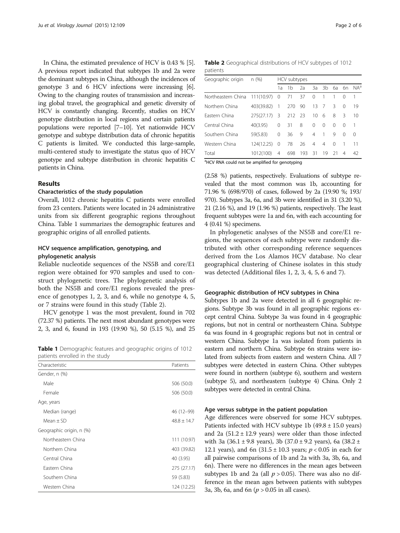In China, the estimated prevalence of HCV is 0.43 % [[5](#page-4-0)]. A previous report indicated that subtypes 1b and 2a were the dominant subtypes in China, although the incidences of genotype 3 and 6 HCV infections were increasing [[6](#page-4-0)]. Owing to the changing routes of transmission and increasing global travel, the geographical and genetic diversity of HCV is constantly changing. Recently, studies on HCV genotype distribution in local regions and certain patients populations were reported [\[7](#page-4-0)–[10\]](#page-4-0). Yet nationwide HCV genotype and subtype distribution data of chronic hepatitis C patients is limited. We conducted this large-sample, multi-centered study to investigate the status quo of HCV genotype and subtype distribution in chronic hepatitis C patients in China.

# Results

# Characteristics of the study population

Overall, 1012 chronic hepatitis C patients were enrolled from 23 centers. Patients were located in 24 administrative units from six different geographic regions throughout China. Table 1 summarizes the demographic features and geographic origins of all enrolled patients.

# HCV sequence amplification, genotyping, and phylogenetic analysis

Reliable nucleotide sequences of the NS5B and core/E1 region were obtained for 970 samples and used to construct phylogenetic trees. The phylogenetic analysis of both the NS5B and core/E1 regions revealed the presence of genotypes 1, 2, 3, and 6, while no genotype 4, 5, or 7 strains were found in this study (Table 2).

HCV genotype 1 was the most prevalent, found in 702 (72.37 %) patients. The next most abundant genotypes were 2, 3, and 6, found in 193 (19.90 %), 50 (5.15 %), and 25

Table 1 Demographic features and geographic origins of 1012 patients enrolled in the study

| Characteristic           | Patients        |
|--------------------------|-----------------|
| Gender, n (%)            |                 |
| Male                     | 506 (50.0)      |
| Female                   | 506 (50.0)      |
| Age, years               |                 |
| Median (range)           | 46 (12-99)      |
| Mean $\pm$ SD            | $48.8 \pm 14.7$ |
| Geographic origin, n (%) |                 |
| Northeastern China       | 111 (10.97)     |
| Northern China           | 403 (39.82)     |
| Central China            | 40 (3.95)       |
| Eastern China            | 275 (27.17)     |
| Southern China           | 59 (5.83)       |
| Western China            | 124 (12.25)     |

|          | Table 2 Geographical distributions of HCV subtypes of 1012 |  |  |  |
|----------|------------------------------------------------------------|--|--|--|
| patients |                                                            |  |  |  |

| Geographic origin  | n(%)                | HCV subtypes   |        |     |              |                |                |                |                          |
|--------------------|---------------------|----------------|--------|-----|--------------|----------------|----------------|----------------|--------------------------|
|                    |                     | 1a             | 1b     | 2a  | 3a           |                |                |                | 3b 6a 6n NA <sup>a</sup> |
| Northeastern China | $111(10.97)$ 0      |                | 71     | 37  | $\mathbf 0$  | $\overline{1}$ | $\overline{1}$ | $\Omega$       | 1                        |
| Northern China     | 403(39.82) 1 270 90 |                |        |     | $13 \quad 7$ |                | $\overline{3}$ | $\Omega$       | 19                       |
| Fastern China      | $275(27.17)$ 3      |                | 212 23 |     | $10\quad 6$  |                | - 8            | 3              | 10                       |
| Central China      | 40(3.95)            | $\overline{0}$ | 31     | 8   | $\mathbf{0}$ | $\Omega$       | $\Omega$       | $\Omega$       | $\overline{1}$           |
| Southern China     | 59(5.83)            | 0              | 36     | 9   | 4            | $\overline{1}$ | 9              | $\Omega$       | $\Omega$                 |
| Western China      | 124(12.25)          | $\overline{0}$ | 78     | 26  | 4            | 4              | $\Omega$       | -1             | 11                       |
| Total              | 1012(100)           | $\overline{4}$ | 698    | 193 | 31           | 19             | 21             | $\overline{4}$ | 42                       |

<sup>a</sup>HCV RNA could not be amplified for genotyping

(2.58 %) patients, respectively. Evaluations of subtype revealed that the most common was 1b, accounting for 71.96 % (698/970) of cases, followed by 2a (19.90 %; 193/ 970). Subtypes 3a, 6a, and 3b were identified in 31 (3.20 %), 21 (2.16 %), and 19 (1.96 %) patients, respectively. The least frequent subtypes were 1a and 6n, with each accounting for 4 (0.41 %) specimens.

In phylogenetic analyses of the NS5B and core/E1 regions, the sequences of each subtype were randomly distributed with other corresponding reference sequences derived from the Los Alamos HCV database. No clear geographical clustering of Chinese isolates in this study was detected (Additional files [1](#page-4-0), [2](#page-4-0), [3](#page-4-0), [4](#page-4-0), [5](#page-4-0), [6](#page-4-0) and [7](#page-4-0)).

# Geographic distribution of HCV subtypes in China

Subtypes 1b and 2a were detected in all 6 geographic regions. Subtype 3b was found in all geographic regions except central China. Subtype 3a was found in 4 geographic regions, but not in central or northeastern China. Subtype 6a was found in 4 geographic regions but not in central or western China. Subtype 1a was isolated from patients in eastern and northern China. Subtype 6n strains were isolated from subjects from eastern and western China. All 7 subtypes were detected in eastern China. Other subtypes were found in northern (subtype 6), southern and western (subtype 5), and northeastern (subtype 4) China. Only 2 subtypes were detected in central China.

#### Age versus subtype in the patient population

Age differences were observed for some HCV subtypes. Patients infected with HCV subtype 1b  $(49.8 \pm 15.0 \text{ years})$ and 2a  $(51.2 \pm 12.9$  years) were older than those infected with 3a (36.1 ± 9.8 years), 3b (37.0 ± 9.2 years), 6a (38.2 ± 12.1 years), and 6n  $(31.5 \pm 10.3 \text{ years}; p < 0.05 \text{ in each for})$ all pairwise comparisons of 1b and 2a with 3a, 3b, 6a, and 6n). There were no differences in the mean ages between subtypes 1b and 2a (all  $p > 0.05$ ). There was also no difference in the mean ages between patients with subtypes 3a, 3b, 6a, and 6n ( $p > 0.05$  in all cases).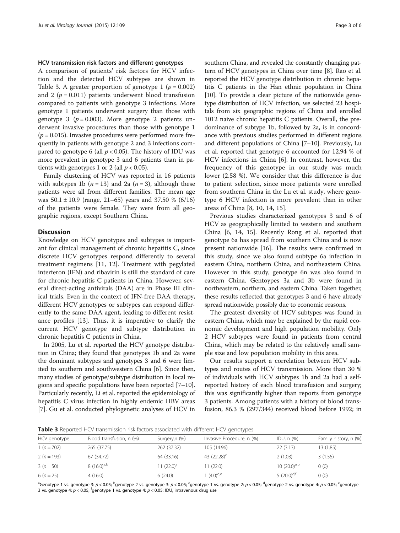#### HCV transmission risk factors and different genotypes

A comparison of patients' risk factors for HCV infection and the detected HCV subtypes are shown in Table 3. A greater proportion of genotype 1 ( $p = 0.002$ ) and 2 ( $p = 0.011$ ) patients underwent blood transfusion compared to patients with genotype 3 infections. More genotype 1 patients underwent surgery than those with genotype 3 ( $p = 0.003$ ). More genotype 2 patients underwent invasive procedures than those with genotype 1  $(p = 0.015)$ . Invasive procedures were performed more frequently in patients with genotype 2 and 3 infections compared to genotype 6 (all  $p < 0.05$ ). The history of IDU was more prevalent in genotype 3 and 6 patients than in patients with genotypes 1 or 2 (all  $p < 0.05$ ).

Family clustering of HCV was reported in 16 patients with subtypes 1b  $(n = 13)$  and 2a  $(n = 3)$ , although these patients were all from different families. The mean age was  $50.1 \pm 10.9$  (range, 21–65) years and 37.50 % (6/16) of the patients were female. They were from all geographic regions, except Southern China.

# **Discussion**

Knowledge on HCV genotypes and subtypes is important for clinical management of chronic hepatitis C, since discrete HCV genotypes respond differently to several treatment regimens [[11, 12](#page-4-0)]. Treatment with pegylated interferon (IFN) and ribavirin is still the standard of care for chronic hepatitis C patients in China. However, several direct-acting antivirals (DAA) are in Phase III clinical trials. Even in the context of IFN-free DAA therapy, different HCV genotypes or subtypes can respond differently to the same DAA agent, leading to different resistance profiles [\[13\]](#page-5-0). Thus, it is imperative to clarify the current HCV genotype and subtype distribution in chronic hepatitis C patients in China.

In 2005, Lu et al. reported the HCV genotype distribution in China; they found that genotypes 1b and 2a were the dominant subtypes and genotypes 3 and 6 were limited to southern and southwestern China [\[6\]](#page-4-0). Since then, many studies of genotype/subtype distribution in local regions and specific populations have been reported [\[7](#page-4-0)–[10](#page-4-0)]. Particularly recently, Li et al. reported the epidemiology of hepatitis C virus infection in highly endemic HBV areas [[7\]](#page-4-0). Gu et al. conducted phylogenetic analyses of HCV in

southern China, and revealed the constantly changing pattern of HCV genotypes in China over time [[8](#page-4-0)]. Rao et al. reported the HCV genotype distribution in chronic hepatitis C patients in the Han ethnic population in China [[10](#page-4-0)]. To provide a clear picture of the nationwide genotype distribution of HCV infection, we selected 23 hospitals from six geographic regions of China and enrolled 1012 naive chronic hepatitis C patients. Overall, the predominance of subtype 1b, followed by 2a, is in concordance with previous studies performed in different regions and different populations of China [\[7](#page-4-0)–[10\]](#page-4-0). Previously, Lu et al. reported that genotype 6 accounted for 12.94 % of HCV infections in China [\[6](#page-4-0)]. In contrast, however, the frequency of this genotype in our study was much lower (2.58 %). We consider that this difference is due to patient selection, since more patients were enrolled from southern China in the Lu et al. study, where genotype 6 HCV infection is more prevalent than in other areas of China [[8, 10](#page-4-0), [14](#page-5-0), [15](#page-5-0)].

Previous studies characterized genotypes 3 and 6 of HCV as geographically limited to western and southern China [[6,](#page-4-0) [14, 15](#page-5-0)]. Recently Rong et al. reported that genotype 6a has spread from southern China and is now present nationwide [\[16\]](#page-5-0). The results were confirmed in this study, since we also found subtype 6a infection in eastern China, northern China, and northeastern China. However in this study, genotype 6n was also found in eastern China. Gentoypes 3a and 3b were found in northeastern, northern, and eastern China. Taken together, these results reflected that genotypes 3 and 6 have already spread nationwide, possibly due to economic reasons.

The greatest diversity of HCV subtypes was found in eastern China, which may be explained by the rapid economic development and high population mobility. Only 2 HCV subtypes were found in patients from central China, which may be related to the relatively small sample size and low population mobility in this area.

Our results support a correlation between HCV subtypes and routes of HCV transmission. More than 30 % of individuals with HCV subtypes 1b and 2a had a selfreported history of each blood transfusion and surgery; this was significantly higher than reports from genotype 3 patients. Among patients with a history of blood transfusion, 86.3 % (297/344) received blood before 1992; in

Table 3 Reported HCV transmission risk factors associated with different HCV genotypes

| HCV genotype | Blood transfusion, n (%) | Surgery,n (%) | Invasive Procedure, n (%) | IDU, $n$ $(\%)$   | Family history, n (%) |
|--------------|--------------------------|---------------|---------------------------|-------------------|-----------------------|
| $1(n=702)$   | 265 (37.75)              | 262 (37.32)   | 105 (14.96)               | 22(3.13)          | 13 (1.85)             |
| $2(n=193)$   | 67 (34.72)               | 64 (33.16)    | 43 $(22.28)^c$            | 2(1.03)           | 3(1.55)               |
| $3(n=50)$    | $8(16.0)^{a,b}$          | 11 $(22.0)^a$ | 11(22.0)                  | 10 $(20.0)^{a,b}$ | 0(0)                  |
| $6(n=25)$    | 4(16.0)                  | 6(24.0)       | 1 $(4.0)^{d,e}$           | 5 $(20.0)^{d,f}$  | 0(0)                  |

<sup>a</sup>Genotype 1 vs. genotype 3: p < 0.05; <sup>b</sup>genotype 2 vs. genotype 3: p < 0.05; <sup>c</sup>genotype 1 vs. genotype 2: p < 0.05; <sup>d</sup>genotype 2 vs. genotype 4: p < 0.05; <sup>e</sup>genotype<br>3 vs. genotype 4: p < 0.05; <sup>f</sup>genotype 1 vs. gen 3 vs. genotype 4:  $p < 0.05$ ; <sup>f</sup>genotype 1 vs. genotype 4:  $p < 0.05$ ; IDU, intravenous drug use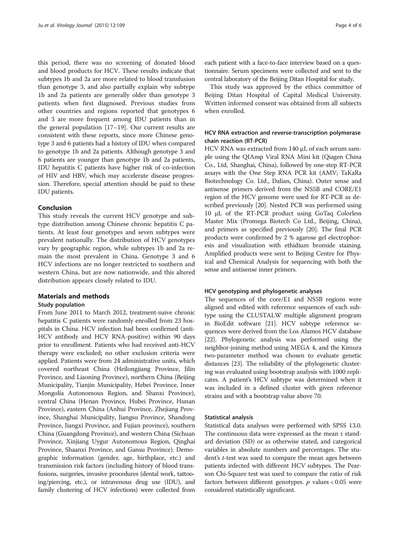this period, there was no screening of donated blood and blood products for HCV. These results indicate that subtypes 1b and 2a are more related to blood transfusion than genotype 3, and also partially explain why subtype 1b and 2a patients are generally older than genotype 3 patients when first diagnosed. Previous studies from other countries and regions reported that genotypes 6 and 3 are more frequent among IDU patients than in the general population [\[17](#page-5-0)–[19\]](#page-5-0). Our current results are consistent with these reports, since more Chinese genotype 3 and 6 patients had a history of IDU when compared to genotype 1b and 2a patients. Although genotype 3 and 6 patients are younger than genotype 1b and 2a patients, IDU hepatitis C patients have higher risk of co-infection of HIV and HBV, which may accelerate disease progression. Therefore, special attention should be paid to these IDU patients.

# Conclusion

This study reveals the current HCV genotype and subtype distribution among Chinese chronic hepatitis C patients. At least four genotypes and seven subtypes were prevalent nationally. The distribution of HCV genotypes vary by geographic region, while subtypes 1b and 2a remain the most prevalent in China. Genotype 3 and 6 HCV infections are no longer restricted to southern and western China, but are now nationwide, and this altered distribution appears closely related to IDU.

## Materials and methods

# Study population

From June 2011 to March 2012, treatment-naive chronic hepatitis C patients were randomly enrolled from 23 hospitals in China. HCV infection had been confirmed (anti-HCV antibody and HCV RNA-positive) within 90 days prior to enrollment. Patients who had received anti-HCV therapy were excluded; no other exclusion criteria were applied. Patients were from 24 administrative units, which covered northeast China (Heilongjiang Province, Jilin Province, and Liaoning Province), northern China (Beijing Municipality, Tianjin Municipality, Hebei Province, Inner Mongolia Autonomous Region, and Shanxi Province), central China (Henan Province, Hubei Province, Hunan Province), eastern China (Anhui Province, Zhejiang Province, Shanghai Municipality, Jiangsu Province, Shandong Province, Jiangxi Province, and Fujian province), southern China (Guangdong Province), and western China (Sichuan Province, Xinjiang Uygur Autonomous Region, Qinghai Province, Shaanxi Province, and Gansu Province). Demographic information (gender, age, birthplace, etc.) and transmission risk factors (including history of blood transfusions, surgeries, invasive procedures (dental work, tattooing/piercing, etc.), or intravenous drug use (IDU), and family clustering of HCV infections) were collected from each patient with a face-to-face interview based on a questionnaire. Serum specimens were collected and sent to the central laboratory of the Beijing Ditan Hospital for study.

This study was approved by the ethics committee of Beijing Ditan Hospital of Capital Medical University. Written informed consent was obtained from all subjects when enrolled.

# HCV RNA extraction and reverse-transcription polymerase chain reaction (RT-PCR)

HCV RNA was extracted from 140 μL of each serum sample using the QIAmp Viral RNA Mini kit (Qiagen China Co., Ltd, Shanghai, China), followed by one-step RT-PCR assays with the One Step RNA PCR kit (AMV; TaKaRa Biotechnology Co. Ltd., Dalian, China). Outer sense and antisense primers derived from the NS5B and CORE/E1 region of the HCV genome were used for RT-PCR as described previously [[20](#page-5-0)]. Nested PCR was performed using 10 μL of the RT-PCR product using GoTaq Colorless Master Mix (Promega Biotech Co Ltd., Beijing, China), and primers as specified previously [\[20\]](#page-5-0). The final PCR products were confirmed by 2 % agarose gel electrophoresis and visualization with ethidium bromide staining. Amplified products were sent to Beijing Centre for Physical and Chemical Analysis for sequencing with both the sense and antisense inner primers.

# HCV genotyping and phylogenetic analyses

The sequences of the core/E1 and NS5B regions were aligned and edited with reference sequences of each subtype using the CLUSTALW multiple alignment program in BioEdit software [\[21\]](#page-5-0). HCV subtype reference sequences were derived from the Los Alamos HCV database [[22](#page-5-0)]. Phylogenetic analysis was performed using the neighbor-joining method using MEGA 4, and the Kimura two-parameter method was chosen to evaluate genetic distances [[23](#page-5-0)]. The reliability of the phylogenetic clustering was evaluated using bootstrap analysis with 1000 replicates. A patient's HCV subtype was determined when it was included in a defined cluster with given reference strains and with a bootstrap value above 70.

## Statistical analysis

Statistical data analyses were performed with SPSS 13.0. The continuous data were expressed as the mean ± standard deviation (SD) or as otherwise stated, and categorical variables in absolute numbers and percentages. The student's t-test was used to compare the mean ages between patients infected with different HCV subtypes. The Pearson Chi-Square test was used to compare the ratio of risk factors between different genotypes.  $p$  values  $< 0.05$  were considered statistically significant.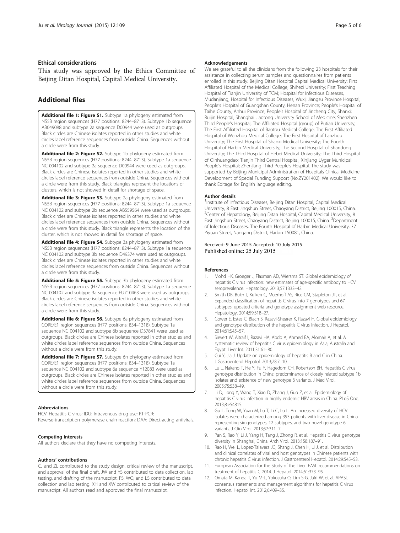# <span id="page-4-0"></span>Ethical considerations

This study was approved by the Ethics Committee of Beijing Ditan Hospital, Capital Medical University.

# Additional files

[Additional file 1: Figure S1.](http://www.virologyj.com/content/supplementary/s12985-015-0341-1-s1.doc) Subtype 1a phylogeny estimated from NS5B region sequences (H77 positions: 8244–8713). Subtype 1b sequence AB049088 and subtype 2a sequence D00944 were used as outgroups. Black circles are Chinese isolates reported in other studies and white circles label reference sequences from outside China. Sequences without a circle were from this study.

[Additional file 2: Figure S2.](http://www.virologyj.com/content/supplementary/s12985-015-0341-1-s2.doc) Subtype 1b phylogeny estimated from NS5B region sequences (H77 positions: 8244–8713). Subtype 1a sequence NC 004102 and subtype 2a sequence D00944 were used as outgroups. Black circles are Chinese isolates reported in other studies and white circles label reference sequences from outside China. Sequences without a circle were from this study. Black triangles represent the locations of clusters, which is not showed in detail for shortage of space.

[Additional file 3: Figure S3.](http://www.virologyj.com/content/supplementary/s12985-015-0341-1-s3.doc) Subtype 2a phylogeny estimated from NS5B region sequences (H77 positions: 8244–8713). Subtype 1a sequence NC 004102 and subtype 2b sequence AB559564 were used as outgroups. Black circles are Chinese isolates reported in other studies and white circles label reference sequences from outside China. Sequences without a circle were from this study. Black triangle represents the location of the cluster, which is not showed in detail for shortage of space.

[Additional file 4: Figure S4.](http://www.virologyj.com/content/supplementary/s12985-015-0341-1-s4.doc) Subtype 3a phylogeny estimated from NS5B region sequences (H77 positions: 8244–8713). Subtype 1a sequence NC 004102 and subtype 3b sequence D49374 were used as outgroups. Black circles are Chinese isolates reported in other studies and white circles label reference sequences from outside China. Sequences without a circle were from this study.

[Additional file 5: Figure S5.](http://www.virologyj.com/content/supplementary/s12985-015-0341-1-s5.doc) Subtype 3b phylogeny estimated from NS5B region sequences (H77 positions: 8244–8713). Subtype 1a sequence NC 004102 and subtype 3a sequence EU710463 were used as outgroups. Black circles are Chinese isolates reported in other studies and white circles label reference sequences from outside China. Sequences without a circle were from this study.

[Additional file 6: Figure S6.](http://www.virologyj.com/content/supplementary/s12985-015-0341-1-s6.doc) Subtype 6a phylogeny estimated from CORE/E1 region sequences (H77 positions: 834–1318). Subtype 1a sequence NC 004102 and subtype 6b sequence D37841 were used as outgroups. Black circles are Chinese isolates reported in other studies and white circles label reference sequences from outside China. Sequences without a circle were from this study.

[Additional file 7: Figure S7.](http://www.virologyj.com/content/supplementary/s12985-015-0341-1-s7.doc) Subtype 6n phylogeny estimated from CORE/E1 region sequences (H77 positions: 834–1318). Subtype 1a sequence NC 004102 and subtype 6a sequence Y12083 were used as outgroups. Black circles are Chinese isolates reported in other studies and white circles label reference sequences from outside China. Sequences without a circle were from this study.

#### Abbreviations

HCV: Hepatitis C virus; IDU: Intravenous drug use; RT-PCR: Reverse-transcription polymerase chain reaction; DAA: Direct-acting antivirals.

#### Competing interests

All authors declare that they have no competing interests.

# Authors' contributions

CJ and ZL contributed to the study design, critical review of the manuscript, and approval of the final draft. JW and YS contributed to data collection, lab testing, and drafting of the manuscript. FS, WQ, and LS contributed to data collection and lab testing. XH and XW contributed to critical review of the manuscript. All authors read and approved the final manuscript.

#### Acknowledgements

We are grateful to all the clinicians from the following 23 hospitals for their assistance in collecting serum samples and questionnaires from patients enrolled in this study: Beijing Ditan Hospital Capital Medical University; First Affiliated Hospital of the Medical College, Shihezi University; First Teaching Hospital of Tianjin University of TCM; Hospital for Infectious Diseases, Mudanjiang; Hospital for Infectious Diseases, Wuxi; Jiangsu Province Hospital; People's Hospital of Guangshan County, Henan Province; People's Hospital of Taihe County, Anhui Province; People's Hospital of Jincheng City, Shanxi; Ruijin Hospital, Shanghai Jiaotong University School of Medicine; Shenzhen Third People's Hospital; The Affiliated Hospital (group) of Putian University; The First Affiliated Hospital of Baotou Medical College; The First Affiliated Hospital of Wenzhou Medical College; The First Hospital of Lanzhou University; The First Hospital of Shanxi Medical University; The Fourth Hospital of Harbin Medical University; The Second Hospital of Shandong University; The Third Hospital of Hebei Medical University; The Third Hospital of Qinhuangdao; Tianjin Third Central Hospital; Xinjiang Uyger Municipal People's Hospital; Zhenjiang Third People's Hospital. The study was supported by Beijing Municipal Administration of Hospitals Clinical Medicine Development of Special Funding Support (No.ZY201402). We would like to thank Editage for English language editing.

#### Author details

<sup>1</sup>Institute of Infectious Diseases, Beijing Ditan Hospital, Capital Medical University, 8 East Jingshun Street, Chaoyang District, Beijing 100015, China. <sup>2</sup> Center of Hepatology, Beijing Ditan Hospital, Capital Medical University, 8 East Jingshun Street, Chaoyang District, Beijing 100015, China. <sup>3</sup>Department of Infectious Diseases, The Fourth Hospital of Harbin Medical University, 37 Yiyuan Street, Nangang District, Harbin 150081, China.

# Received: 9 June 2015 Accepted: 10 July 2015 Published online: 25 July 2015

#### References

- 1. Mohd HK, Groeger J, Flaxman AD, Wiersma ST. Global epidemiology of hepatitis C virus infection: new estimates of age-specific antibody to HCV seroprevalence. Hepatology. 2013;57:1333–42.
- Smith DB, Bukh J, Kuiken C, Muerhoff AS, Rice CM, Stapleton JT, et al. Expanded classification of hepatitis C virus into 7 genotypes and 67 subtypes: updated criteria and genotype assignment web resource. Hepatology. 2014;59:318–27.
- 3. Gower E, Estes C, Blach S, Razavi-Shearer K, Razavi H. Global epidemiology and genotype distribution of the hepatitis C virus infection. J Hepatol. 2014;61:S45–57.
- Sievert W, Altraif I, Razavi HA, Abdo A, Ahmed EA, Alomair A, et al. A systematic review of hepatitis C virus epidemiology in Asia, Australia and Egypt. Liver Int. 2011;31:61–80.
- 5. Cui Y, Jia J. Update on epidemiology of hepatitis B and C in China. J Gastroenterol Hepatol. 2013;28:7–10.
- 6. Lu L, Nakano T, He Y, Fu Y, Hagedorn CH, Robertson BH. Hepatitis C virus genotype distribution in China: predominance of closely related subtype 1b isolates and existence of new genotype 6 variants. J Med Virol. 2005;75:538–49.
- 7. Li D, Long Y, Wang T, Xiao D, Zhang J, Guo Z, et al. Epidemiology of hepatitis C virus infection in highly endemic HBV areas in China. PLoS One. 2013;8:e54815.
- 8. Gu L, Tong W, Yuan M, Lu T, Li C, Lu L. An increased diversity of HCV isolates were characterized among 393 patients with liver disease in China representing six genotypes, 12 subtypes, and two novel genotype 6 variants. J Clin Virol. 2013;57:311–7.
- 9. Pan S, Rao Y, Li J, Yang H, Tang J, Zhong R, et al. Hepatitis C virus genotype diversity in Shanghai, China. Arch Virol. 2013;158:187–91.
- 10. Rao H, Wei L, Lopez-Talavera JC, Shang J, Chen H, Li J, et al. Distribution and clinical correlates of viral and host genotypes in Chinese patients with chronic hepatitis C virus infection. J Gastroenterol Hepatol. 2014;29:545–53.
- 11. European Association for the Study of the Liver. EASL recommendations on treatment of hepatitis C 2014. J Hepatol. 2014;61:373–95.
- 12. Omata M, Kanda T, Yu M-L, Yokosuka O, Lim S-G, Jafri W, et al. APASL consensus statements and management algorithms for hepatitis C virus infection. Hepatol Int. 2012;6:409–35.